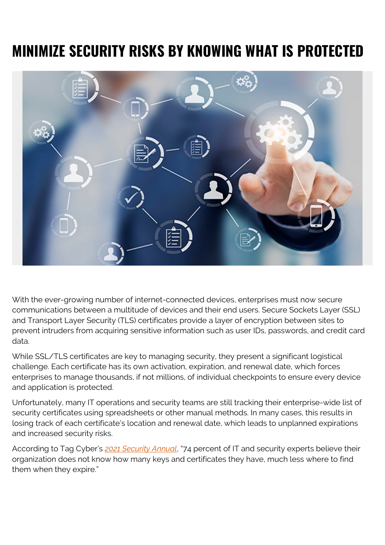## **MINIMIZE SECURITY RISKS BY KNOWING WHAT IS PROTECTED**



With the ever-growing number of internet-connected devices, enterprises must now secure communications between a multitude of devices and their end users. Secure Sockets Layer (SSL) and Transport Layer Security (TLS) certificates provide a layer of encryption between sites to prevent intruders from acquiring sensitive information such as user IDs, passwords, and credit card data.

While SSL/TLS certificates are key to managing security, they present a significant logistical challenge. Each certificate has its own activation, expiration, and renewal date, which forces enterprises to manage thousands, if not millions, of individual checkpoints to ensure every device and application is protected.

Unfortunately, many IT operations and security teams are still tracking their enterprise-wide list of security certificates using spreadsheets or other manual methods. In many cases, this results in losing track of each certificate's location and renewal date, which leads to unplanned expirations and increased security risks.

According to Tag Cyber's *[2021 Security Annual](https://www.keyfactor.com/blog/analyst-report-2021-tag-cyber-security-annual/)*, "74 percent of IT and security experts believe their organization does not know how many keys and certificates they have, much less where to find them when they expire."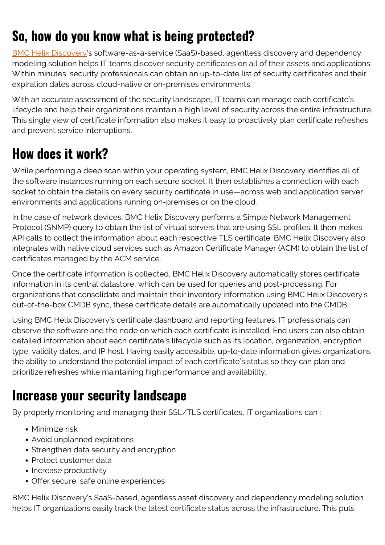## **So, how do you know what is being protected?**

[BMC Helix Discovery](https://blogs.bmc.com/it-solutions/bmc-helix-discovery.html)'s software-as-a-service (SaaS)-based, agentless discovery and dependency modeling solution helps IT teams discover security certificates on all of their assets and applications. Within minutes, security professionals can obtain an up-to-date list of security certificates and their expiration dates across cloud-native or on-premises environments.

With an accurate assessment of the security landscape, IT teams can manage each certificate's lifecycle and help their organizations maintain a high level of security across the entire infrastructure. This single view of certificate information also makes it easy to proactively plan certificate refreshes and prevent service interruptions.

## **How does it work?**

While performing a deep scan within your operating system, BMC Helix Discovery identifies all of the software instances running on each secure socket. It then establishes a connection with each socket to obtain the details on every security certificate in use—across web and application server environments and applications running on-premises or on the cloud.

In the case of network devices, BMC Helix Discovery performs a Simple Network Management Protocol (SNMP) query to obtain the list of virtual servers that are using SSL profiles. It then makes API calls to collect the information about each respective TLS certificate. BMC Helix Discovery also integrates with native cloud services such as Amazon Certificate Manager (ACM) to obtain the list of certificates managed by the ACM service.

Once the certificate information is collected, BMC Helix Discovery automatically stores certificate information in its central datastore, which can be used for queries and post-processing. For organizations that consolidate and maintain their inventory information using BMC Helix Discovery's out-of-the-box CMDB sync, these certificate details are automatically updated into the CMDB.

Using BMC Helix Discovery's certificate dashboard and reporting features, IT professionals can observe the software and the node on which each certificate is installed. End users can also obtain detailed information about each certificate's lifecycle such as its location, organization, encryption type, validity dates, and IP host. Having easily accessible, up-to-date information gives organizations the ability to understand the potential impact of each certificate's status so they can plan and prioritize refreshes while maintaining high performance and availability.

## **Increase your security landscape**

By properly monitoring and managing their SSL/TLS certificates, IT organizations can :

- Minimize risk
- Avoid unplanned expirations
- Strengthen data security and encryption
- Protect customer data
- Increase productivity
- Offer secure, safe online experiences

BMC Helix Discovery's SaaS-based, agentless asset discovery and dependency modeling solution helps IT organizations easily track the latest certificate status across the infrastructure. This puts